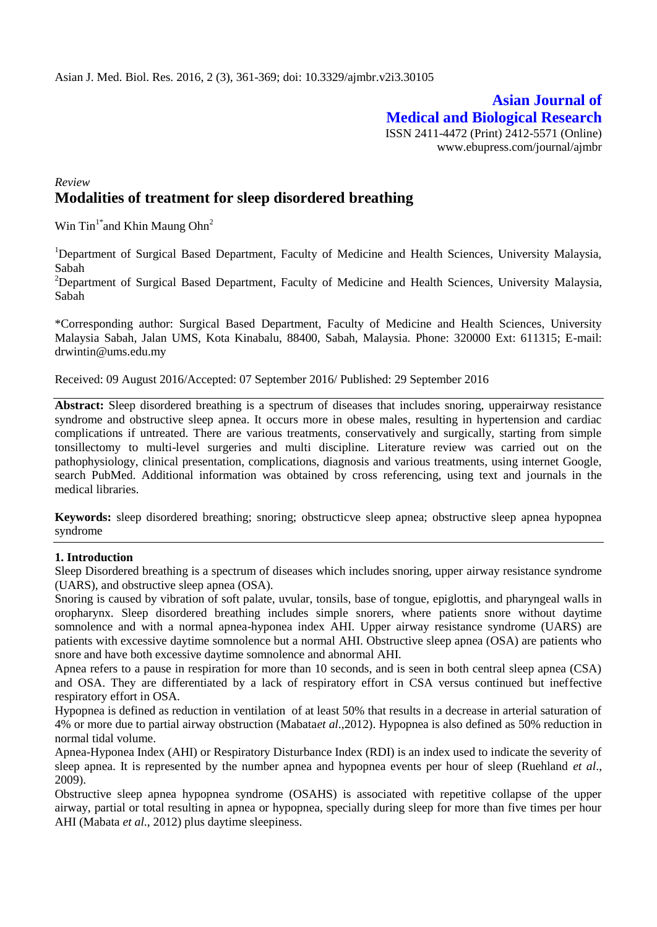## **Asian Journal of Medical and Biological Research** ISSN 2411-4472 (Print) 2412-5571 (Online) www.ebupress.com/journal/ajmbr

## *Review* **Modalities of treatment for sleep disordered breathing**

Win  $\text{Pin}^{1*}$ and Khin Maung Ohn<sup>2</sup>

<sup>1</sup>Department of Surgical Based Department, Faculty of Medicine and Health Sciences, University Malaysia, Sabah

<sup>2</sup>Department of Surgical Based Department, Faculty of Medicine and Health Sciences, University Malaysia, Sabah

\*Corresponding author: Surgical Based Department, Faculty of Medicine and Health Sciences, University Malaysia Sabah, Jalan UMS, Kota Kinabalu, 88400, Sabah, Malaysia. Phone: 320000 Ext: 611315; E-mail: [drwintin@ums.edu.my](mailto:drwintin@ums.edu.my)

Received: 09 August 2016/Accepted: 07 September 2016/ Published: 29 September 2016

**Abstract:** Sleep disordered breathing is a spectrum of diseases that includes snoring, upperairway resistance syndrome and obstructive sleep apnea. It occurs more in obese males, resulting in hypertension and cardiac complications if untreated. There are various treatments, conservatively and surgically, starting from simple tonsillectomy to multi-level surgeries and multi discipline. Literature review was carried out on the pathophysiology, clinical presentation, complications, diagnosis and various treatments, using internet Google, search PubMed. Additional information was obtained by cross referencing, using text and journals in the medical libraries.

**Keywords:** sleep disordered breathing; snoring; obstructicve sleep apnea; obstructive sleep apnea hypopnea syndrome

### **1. Introduction**

Sleep Disordered breathing is a spectrum of diseases which includes snoring, upper airway resistance syndrome (UARS), and obstructive sleep apnea (OSA).

Snoring is caused by vibration of soft palate, uvular, tonsils, base of tongue, epiglottis, and pharyngeal walls in oropharynx. Sleep disordered breathing includes simple snorers, where patients snore without daytime somnolence and with a normal apnea-hyponea index AHI. Upper airway resistance syndrome (UARS) are patients with excessive daytime somnolence but a normal AHI. Obstructive sleep apnea (OSA) are patients who snore and have both excessive daytime somnolence and abnormal AHI.

Apnea refers to a pause in respiration for more than 10 seconds, and is seen in both central sleep apnea (CSA) and OSA. They are differentiated by a lack of respiratory effort in CSA versus continued but ineffective respiratory effort in OSA.

Hypopnea is defined as reduction in ventilation of at least 50% that results in a decrease in arterial saturation of 4% or more due to partial airway obstruction (Mabata*et al*.,2012). Hypopnea is also defined as 50% reduction in normal tidal volume.

Apnea-Hyponea Index (AHI) or Respiratory Disturbance Index (RDI) is an index used to indicate the severity of sleep apnea. It is represented by the number apnea and hypopnea events per hour of sleep (Ruehland *et al*., 2009).

Obstructive sleep apnea hypopnea syndrome (OSAHS) is associated with repetitive collapse of the upper airway, partial or total resulting in apnea or hypopnea, specially during sleep for more than five times per hour AHI (Mabata *et al*., 2012) plus daytime sleepiness.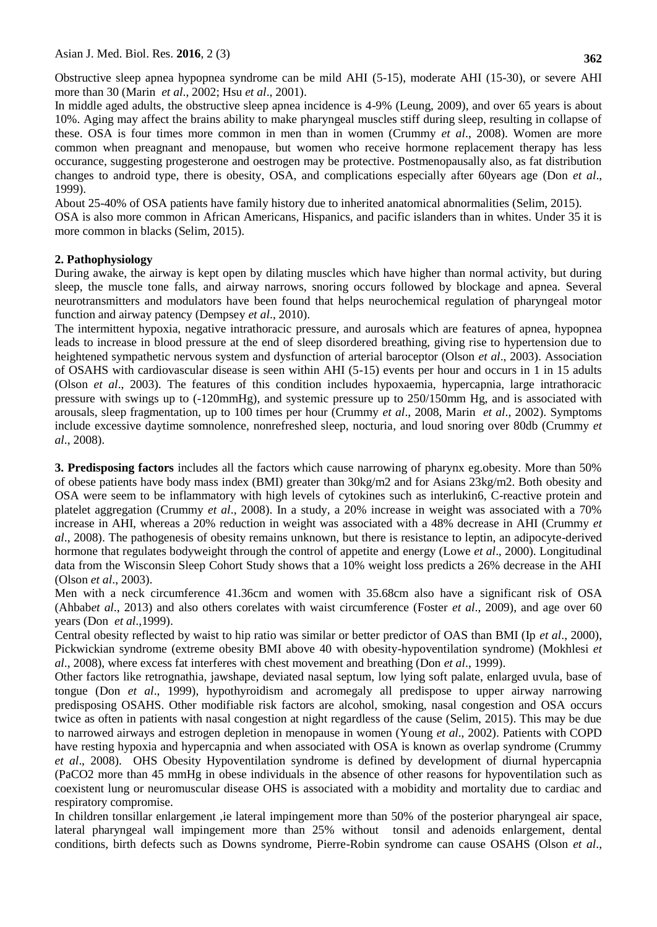Obstructive sleep apnea hypopnea syndrome can be mild AHI (5-15), moderate AHI (15-30), or severe AHI more than 30 (Marin *et al*., 2002; Hsu *et al*., 2001).

In middle aged adults, the obstructive sleep apnea incidence is 4-9% (Leung, 2009), and over 65 years is about 10%. Aging may affect the brains ability to make pharyngeal muscles stiff during sleep, resulting in collapse of these. OSA is four times more common in men than in women (Crummy *et al*., 2008). Women are more common when preagnant and menopause, but women who receive hormone replacement therapy has less occurance, suggesting progesterone and oestrogen may be protective. Postmenopausally also, as fat distribution changes to android type, there is obesity, OSA, and complications especially after 60years age (Don *et al*., 1999).

About 25-40% of OSA patients have family history due to inherited anatomical abnormalities (Selim, 2015). OSA is also more common in African Americans, Hispanics, and pacific islanders than in whites. Under 35 it is more common in blacks (Selim, 2015).

### **2. Pathophysiology**

During awake, the airway is kept open by dilating muscles which have higher than normal activity, but during sleep, the muscle tone falls, and airway narrows, snoring occurs followed by blockage and apnea. Several neurotransmitters and modulators have been found that helps neurochemical regulation of pharyngeal motor function and airway patency (Dempsey *et al*., 2010).

The intermittent hypoxia, negative intrathoracic pressure, and aurosals which are features of apnea, hypopnea leads to increase in blood pressure at the end of sleep disordered breathing, giving rise to hypertension due to heightened sympathetic nervous system and dysfunction of arterial baroceptor (Olson *et al*., 2003). Association of OSAHS with cardiovascular disease is seen within AHI (5-15) events per hour and occurs in 1 in 15 adults (Olson *et al*., 2003). The features of this condition includes hypoxaemia, hypercapnia, large intrathoracic pressure with swings up to (-120mmHg), and systemic pressure up to 250/150mm Hg, and is associated with arousals, sleep fragmentation, up to 100 times per hour (Crummy *et al*., 2008, Marin *et al*., 2002). Symptoms include excessive daytime somnolence, nonrefreshed sleep, nocturia, and loud snoring over 80db (Crummy *et al*., 2008).

**3. Predisposing factors** includes all the factors which cause narrowing of pharynx eg.obesity. More than 50% of obese patients have body mass index (BMI) greater than 30kg/m2 and for Asians 23kg/m2. Both obesity and OSA were seem to be inflammatory with high levels of cytokines such as interlukin6, C-reactive protein and platelet aggregation (Crummy *et al*., 2008). In a study, a 20% increase in weight was associated with a 70% increase in AHI, whereas a 20% reduction in weight was associated with a 48% decrease in AHI (Crummy *et al*., 2008). The pathogenesis of obesity remains unknown, but there is resistance to leptin, an adipocyte-derived hormone that regulates bodyweight through the control of appetite and energy (Lowe *et al*., 2000). Longitudinal data from the Wisconsin Sleep Cohort Study shows that a 10% weight loss predicts a 26% decrease in the AHI (Olson *et al*., 2003).

Men with a neck circumference 41.36cm and women with 35.68cm also have a significant risk of OSA (Ahbab*et al*., 2013) and also others corelates with waist circumference (Foster *et al*., 2009), and age over 60 years (Don *et al*.,1999).

Central obesity reflected by waist to hip ratio was similar or better predictor of OAS than BMI (Ip *et al*., 2000), Pickwickian syndrome (extreme obesity BMI above 40 with obesity-hypoventilation syndrome) (Mokhlesi *et al*., 2008), where excess fat interferes with chest movement and breathing (Don *et al*., 1999).

Other factors like retrognathia, jawshape, deviated nasal septum, low lying soft palate, enlarged uvula, base of tongue (Don *et al*., 1999), hypothyroidism and acromegaly all predispose to upper airway narrowing predisposing OSAHS. Other modifiable risk factors are alcohol, smoking, nasal congestion and OSA occurs twice as often in patients with nasal congestion at night regardless of the cause (Selim, 2015). This may be due to narrowed airways and estrogen depletion in menopause in women (Young *et al*., 2002). Patients with COPD have resting hypoxia and hypercapnia and when associated with OSA is known as overlap syndrome (Crummy *et al*., 2008). OHS Obesity Hypoventilation syndrome is defined by development of diurnal hypercapnia (PaCO2 more than 45 mmHg in obese individuals in the absence of other reasons for hypoventilation such as coexistent lung or neuromuscular disease OHS is associated with a mobidity and mortality due to cardiac and respiratory compromise.

In children tonsillar enlargement ,ie lateral impingement more than 50% of the posterior pharyngeal air space, lateral pharyngeal wall impingement more than 25% without tonsil and adenoids enlargement, dental conditions, birth defects such as Downs syndrome, Pierre-Robin syndrome can cause OSAHS (Olson *et al*.,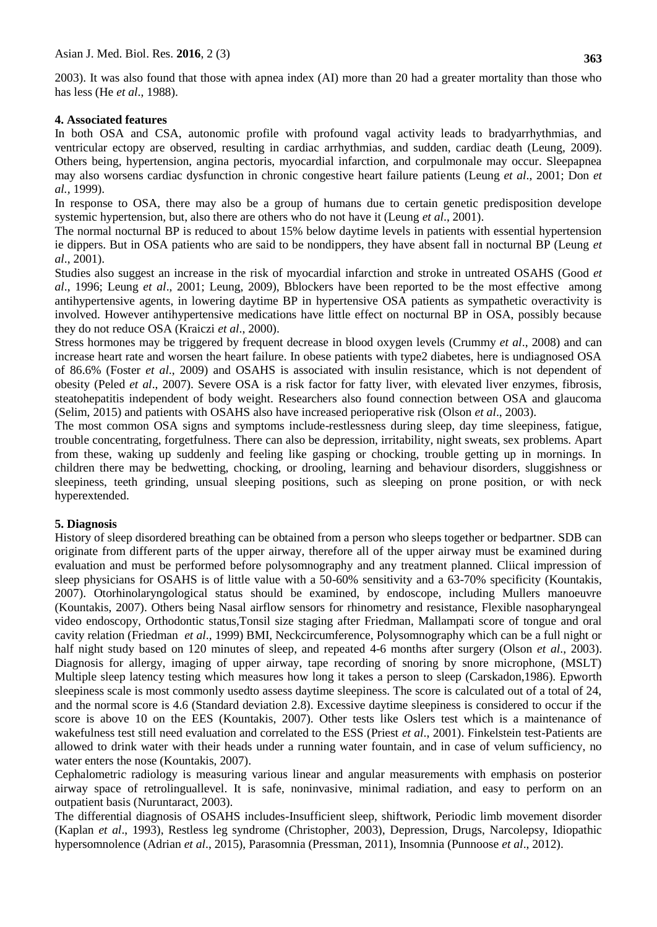2003). It was also found that those with apnea index (AI) more than 20 had a greater mortality than those who has less (He *et al*., 1988).

### **4. Associated features**

In both OSA and CSA, autonomic profile with profound vagal activity leads to bradyarrhythmias, and ventricular ectopy are observed, resulting in cardiac arrhythmias, and sudden, cardiac death (Leung, 2009). Others being, hypertension, angina pectoris, myocardial infarction, and corpulmonale may occur. Sleepapnea may also worsens cardiac dysfunction in chronic congestive heart failure patients (Leung *et al*., 2001; Don *et al.,* 1999).

In response to OSA, there may also be a group of humans due to certain genetic predisposition develope systemic hypertension, but, also there are others who do not have it (Leung *et al*., 2001).

The normal nocturnal BP is reduced to about 15% below daytime levels in patients with essential hypertension ie dippers. But in OSA patients who are said to be nondippers, they have absent fall in nocturnal BP (Leung *et al*., 2001).

Studies also suggest an increase in the risk of myocardial infarction and stroke in untreated OSAHS (Good *et al*., 1996; Leung *et al*., 2001; Leung, 2009), Bblockers have been reported to be the most effective among antihypertensive agents, in lowering daytime BP in hypertensive OSA patients as sympathetic overactivity is involved. However antihypertensive medications have little effect on nocturnal BP in OSA, possibly because they do not reduce OSA (Kraiczi *et al*., 2000).

Stress hormones may be triggered by frequent decrease in blood oxygen levels (Crummy *et al*., 2008) and can increase heart rate and worsen the heart failure. In obese patients with type2 diabetes, here is undiagnosed OSA of 86.6% (Foster *et al*., 2009) and OSAHS is associated with insulin resistance, which is not dependent of obesity (Peled *et al*., 2007). Severe OSA is a risk factor for fatty liver, with elevated liver enzymes, fibrosis, steatohepatitis independent of body weight. Researchers also found connection between OSA and glaucoma (Selim, 2015) and patients with OSAHS also have increased perioperative risk (Olson *et al*., 2003).

The most common OSA signs and symptoms include-restlessness during sleep, day time sleepiness, fatigue, trouble concentrating, forgetfulness. There can also be depression, irritability, night sweats, sex problems. Apart from these, waking up suddenly and feeling like gasping or chocking, trouble getting up in mornings. In children there may be bedwetting, chocking, or drooling, learning and behaviour disorders, sluggishness or sleepiness, teeth grinding, unsual sleeping positions, such as sleeping on prone position, or with neck hyperextended.

### **5. Diagnosis**

History of sleep disordered breathing can be obtained from a person who sleeps together or bedpartner. SDB can originate from different parts of the upper airway, therefore all of the upper airway must be examined during evaluation and must be performed before polysomnography and any treatment planned. Cliical impression of sleep physicians for OSAHS is of little value with a 50-60% sensitivity and a 63-70% specificity (Kountakis, 2007). Otorhinolaryngological status should be examined, by endoscope, including Mullers manoeuvre (Kountakis, 2007). Others being Nasal airflow sensors for rhinometry and resistance, Flexible nasopharyngeal video endoscopy, Orthodontic status,Tonsil size staging after Friedman, Mallampati score of tongue and oral cavity relation (Friedman *et al*., 1999) BMI, Neckcircumference, Polysomnography which can be a full night or half night study based on 120 minutes of sleep, and repeated 4-6 months after surgery (Olson *et al*., 2003). Diagnosis for allergy, imaging of upper airway, tape recording of snoring by snore microphone, (MSLT) Multiple sleep latency testing which measures how long it takes a person to sleep (Carskadon,1986). Epworth sleepiness scale is most commonly usedto assess daytime sleepiness. The score is calculated out of a total of 24, and the normal score is 4.6 (Standard deviation 2.8). Excessive daytime sleepiness is considered to occur if the score is above 10 on the EES (Kountakis, 2007). Other tests like Oslers test which is a maintenance of wakefulness test still need evaluation and correlated to the ESS (Priest *et al.*, 2001). Finkelstein test-Patients are allowed to drink water with their heads under a running water fountain, and in case of velum sufficiency, no water enters the nose (Kountakis, 2007).

Cephalometric radiology is measuring various linear and angular measurements with emphasis on posterior airway space of retrolinguallevel. It is safe, noninvasive, minimal radiation, and easy to perform on an outpatient basis (Nuruntaract, 2003).

The differential diagnosis of OSAHS includes-Insufficient sleep, shiftwork, Periodic limb movement disorder (Kaplan *et al*., 1993), Restless leg syndrome (Christopher, 2003), Depression, Drugs, Narcolepsy, Idiopathic hypersomnolence (Adrian *et al*., 2015), Parasomnia (Pressman, 2011), Insomnia (Punnoose *et al*., 2012).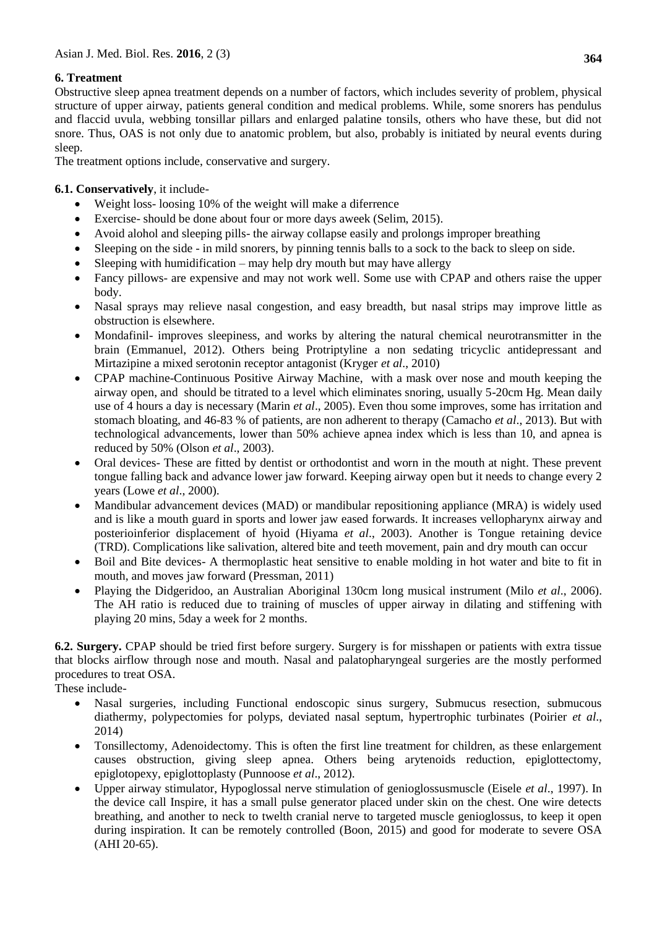# **6. Treatment**

Obstructive sleep apnea treatment depends on a number of factors, which includes severity of problem, physical structure of upper airway, patients general condition and medical problems. While, some snorers has pendulus and flaccid uvula, webbing tonsillar pillars and enlarged palatine tonsils, others who have these, but did not snore. Thus, OAS is not only due to anatomic problem, but also, probably is initiated by neural events during sleep.

The treatment options include, conservative and surgery.

## **6.1. Conservatively**, it include-

- Weight loss- loosing 10% of the weight will make a diferrence
- Exercise- should be done about four or more days aweek (Selim, 2015).
- Avoid alohol and sleeping pills- the airway collapse easily and prolongs improper breathing
- Sleeping on the side in mild snorers, by pinning tennis balls to a sock to the back to sleep on side.
- Sleeping with humidification may help dry mouth but may have allergy
- Fancy pillows- are expensive and may not work well. Some use with CPAP and others raise the upper body.
- Nasal sprays may relieve nasal congestion, and easy breadth, but nasal strips may improve little as obstruction is elsewhere.
- Mondafinil- improves sleepiness, and works by altering the natural chemical neurotransmitter in the brain (Emmanuel, 2012). Others being Protriptyline a non sedating tricyclic antidepressant and Mirtazipine a mixed serotonin receptor antagonist (Kryger *et al*., 2010)
- CPAP machine-Continuous Positive Airway Machine, with a mask over nose and mouth keeping the airway open, and should be titrated to a level which eliminates snoring, usually 5-20cm Hg. Mean daily use of 4 hours a day is necessary (Marin *et al*., 2005). Even thou some improves, some has irritation and stomach bloating, and 46-83 % of patients, are non adherent to therapy (Camacho *et al*., 2013). But with technological advancements, lower than 50% achieve apnea index which is less than 10, and apnea is reduced by 50% (Olson *et al*., 2003).
- Oral devices- These are fitted by dentist or orthodontist and worn in the mouth at night. These prevent tongue falling back and advance lower jaw forward. Keeping airway open but it needs to change every 2 years (Lowe *et al*., 2000).
- Mandibular advancement devices (MAD) or mandibular repositioning appliance (MRA) is widely used and is like a mouth guard in sports and lower jaw eased forwards. It increases vellopharynx airway and posterioinferior displacement of hyoid (Hiyama *et al*., 2003). Another is Tongue retaining device (TRD). Complications like salivation, altered bite and teeth movement, pain and dry mouth can occur
- Boil and Bite devices- A thermoplastic heat sensitive to enable molding in hot water and bite to fit in mouth, and moves jaw forward (Pressman, 2011)
- Playing the Didgeridoo, an Australian Aboriginal 130cm long musical instrument (Milo *et al*., 2006). The AH ratio is reduced due to training of muscles of upper airway in dilating and stiffening with playing 20 mins, 5day a week for 2 months.

**6.2. Surgery.** CPAP should be tried first before surgery. Surgery is for misshapen or patients with extra tissue that blocks airflow through nose and mouth. Nasal and palatopharyngeal surgeries are the mostly performed procedures to treat OSA.

These include-

- Nasal surgeries, including Functional endoscopic sinus surgery, Submucus resection, submucous diathermy, polypectomies for polyps, deviated nasal septum, hypertrophic turbinates (Poirier *et al*., 2014)
- Tonsillectomy, Adenoidectomy. This is often the first line treatment for children, as these enlargement causes obstruction, giving sleep apnea. Others being arytenoids reduction, epiglottectomy, epiglotopexy, epiglottoplasty (Punnoose *et al*., 2012).
- Upper airway stimulator, Hypoglossal nerve stimulation of genioglossusmuscle (Eisele *et al*., 1997). In the device call Inspire, it has a small pulse generator placed under skin on the chest. One wire detects breathing, and another to neck to twelth cranial nerve to targeted muscle genioglossus, to keep it open during inspiration. It can be remotely controlled (Boon, 2015) and good for moderate to severe OSA (AHI 20-65).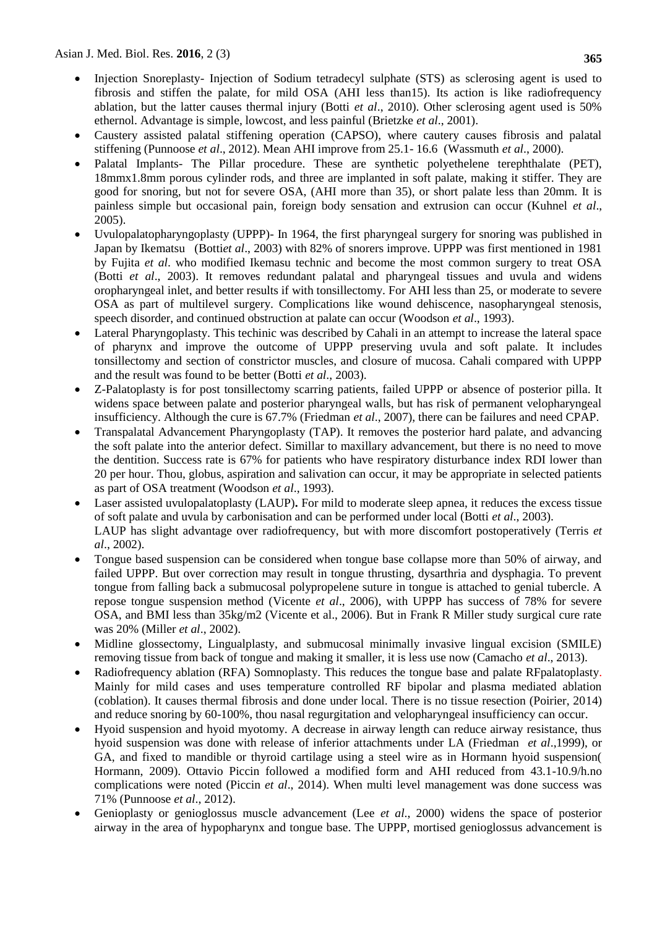- Injection Snoreplasty- Injection of Sodium tetradecyl sulphate (STS) as sclerosing agent is used to fibrosis and stiffen the palate, for mild OSA (AHI less than15). Its action is like radiofrequency ablation, but the latter causes thermal injury (Botti *et al*., 2010). Other sclerosing agent used is 50% ethernol. Advantage is simple, lowcost, and less painful (Brietzke *et al*., 2001).
- Caustery assisted palatal stiffening operation (CAPSO), where cautery causes fibrosis and palatal stiffening (Punnoose *et al*., 2012). Mean AHI improve from 25.1- 16.6 (Wassmuth *et al*., 2000).
- Palatal Implants- The Pillar procedure. These are synthetic polyethelene terephthalate (PET), 18mmx1.8mm porous cylinder rods, and three are implanted in soft palate, making it stiffer. They are good for snoring, but not for severe OSA, (AHI more than 35), or short palate less than 20mm. It is painless simple but occasional pain, foreign body sensation and extrusion can occur (Kuhnel *et al*., 2005).
- Uvulopalatopharyngoplasty (UPPP)- In 1964, the first pharyngeal surgery for snoring was published in Japan by Ikematsu (Botti*et al*., 2003) with 82% of snorers improve. UPPP was first mentioned in 1981 by Fujita *et al*. who modified Ikemasu technic and become the most common surgery to treat OSA (Botti *et al*., 2003). It removes redundant palatal and pharyngeal tissues and uvula and widens oropharyngeal inlet, and better results if with tonsillectomy. For AHI less than 25, or moderate to severe OSA as part of multilevel surgery. Complications like wound dehiscence, nasopharyngeal stenosis, speech disorder, and continued obstruction at palate can occur (Woodson *et al*., 1993).
- Lateral Pharyngoplasty. This techinic was described by Cahali in an attempt to increase the lateral space of pharynx and improve the outcome of UPPP preserving uvula and soft palate. It includes tonsillectomy and section of constrictor muscles, and closure of mucosa. Cahali compared with UPPP and the result was found to be better (Botti *et al*., 2003).
- Z-Palatoplasty is for post tonsillectomy scarring patients, failed UPPP or absence of posterior pilla. It widens space between palate and posterior pharyngeal walls, but has risk of permanent velopharyngeal insufficiency. Although the cure is 67.7% (Friedman *et al*., 2007), there can be failures and need CPAP.
- Transpalatal Advancement Pharyngoplasty (TAP). It removes the posterior hard palate, and advancing the soft palate into the anterior defect. Simillar to maxillary advancement, but there is no need to move the dentition. Success rate is 67% for patients who have respiratory disturbance index RDI lower than 20 per hour. Thou, globus, aspiration and salivation can occur, it may be appropriate in selected patients as part of OSA treatment (Woodson *et al*., 1993).
- Laser assisted uvulopalatoplasty (LAUP)**.** For mild to moderate sleep apnea, it reduces the excess tissue of soft palate and uvula by carbonisation and can be performed under local (Botti *et al*., 2003). LAUP has slight advantage over radiofrequency, but with more discomfort postoperatively (Terris *et al*., 2002).
- Tongue based suspension can be considered when tongue base collapse more than 50% of airway, and failed UPPP. But over correction may result in tongue thrusting, dysarthria and dysphagia. To prevent tongue from falling back a submucosal polypropelene suture in tongue is attached to genial tubercle. A repose tongue suspension method (Vicente *et al*., 2006), with UPPP has success of 78% for severe OSA, and BMI less than 35kg/m2 (Vicente et al., 2006). But in Frank R Miller study surgical cure rate was 20% (Miller *et al*., 2002).
- Midline glossectomy, Lingualplasty, and submucosal minimally invasive lingual excision (SMILE) removing tissue from back of tongue and making it smaller, it is less use now (Camacho *et al*., 2013).
- Radiofrequency ablation (RFA) Somnoplasty. This reduces the tongue base and palate RFpalatoplasty. Mainly for mild cases and uses temperature controlled RF bipolar and plasma mediated ablation (coblation). It causes thermal fibrosis and done under local. There is no tissue resection (Poirier, 2014) and reduce snoring by 60-100%, thou nasal regurgitation and velopharyngeal insufficiency can occur.
- Hyoid suspension and hyoid myotomy. A decrease in airway length can reduce airway resistance, thus hyoid suspension was done with release of inferior attachments under LA (Friedman *et al*.,1999), or GA, and fixed to mandible or thyroid cartilage using a steel wire as in Hormann hyoid suspension( Hormann, 2009). Ottavio Piccin followed a modified form and AHI reduced from 43.1-10.9/h.no complications were noted (Piccin *et al*., 2014). When multi level management was done success was 71% (Punnoose *et al*., 2012).
- Genioplasty or genioglossus muscle advancement (Lee *et al*., 2000) widens the space of posterior airway in the area of hypopharynx and tongue base. The UPPP, mortised genioglossus advancement is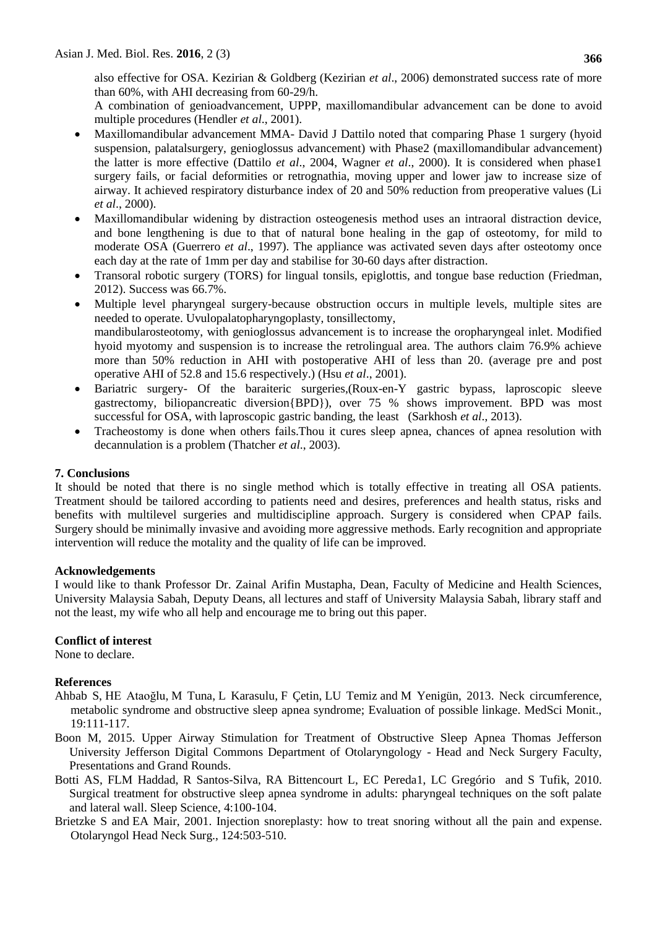also effective for OSA. Kezirian & Goldberg (Kezirian *et al*., 2006) demonstrated success rate of more than 60%, with AHI decreasing from 60-29/h.

A combination of genioadvancement, UPPP, maxillomandibular advancement can be done to avoid multiple procedures (Hendler *et al*., 2001).

- Maxillomandibular advancement MMA- David J Dattilo noted that comparing Phase 1 surgery (hyoid suspension, palatalsurgery, genioglossus advancement) with Phase2 (maxillomandibular advancement) the latter is more effective (Dattilo *et al*., 2004, Wagner *et al*., 2000). It is considered when phase1 surgery fails, or facial deformities or retrognathia, moving upper and lower jaw to increase size of airway. It achieved respiratory disturbance index of 20 and 50% reduction from preoperative values (Li *et al*., 2000).
- Maxillomandibular widening by distraction osteogenesis method uses an intraoral distraction device, and bone lengthening is due to that of natural bone healing in the gap of osteotomy, for mild to moderate OSA (Guerrero *et al*., 1997). The appliance was activated seven days after osteotomy once each day at the rate of 1mm per day and stabilise for 30-60 days after distraction.
- Transoral robotic surgery (TORS) for lingual tonsils, epiglottis, and tongue base reduction (Friedman, 2012). Success was 66.7%.
- Multiple level pharyngeal surgery-because obstruction occurs in multiple levels, multiple sites are needed to operate. Uvulopalatopharyngoplasty, tonsillectomy, mandibularosteotomy, with genioglossus advancement is to increase the oropharyngeal inlet. Modified hyoid myotomy and suspension is to increase the retrolingual area. The authors claim 76.9% achieve more than 50% reduction in AHI with postoperative AHI of less than 20. (average pre and post operative AHI of 52.8 and 15.6 respectively.) (Hsu *et al*., 2001).
- Bariatric surgery- Of the baraiteric surgeries,(Roux-en-Y gastric bypass, laproscopic sleeve gastrectomy, biliopancreatic diversion{BPD}), over 75 % shows improvement. BPD was most successful for OSA, with laproscopic gastric banding, the least (Sarkhosh *et al*., 2013).
- Tracheostomy is done when others fails.Thou it cures sleep apnea, chances of apnea resolution with decannulation is a problem (Thatcher *et al*., 2003).

### **7. Conclusions**

It should be noted that there is no single method which is totally effective in treating all OSA patients. Treatment should be tailored according to patients need and desires, preferences and health status, risks and benefits with multilevel surgeries and multidiscipline approach. Surgery is considered when CPAP fails. Surgery should be minimally invasive and avoiding more aggressive methods. Early recognition and appropriate intervention will reduce the motality and the quality of life can be improved.

### **Acknowledgements**

I would like to thank Professor Dr. Zainal Arifin Mustapha, Dean, Faculty of Medicine and Health Sciences, University Malaysia Sabah, Deputy Deans, all lectures and staff of University Malaysia Sabah, library staff and not the least, my wife who all help and encourage me to bring out this paper.

### **Conflict of interest**

None to declare.

### **References**

- [Ahbab](http://www.ncbi.nlm.nih.gov/pubmed/?term=Ahbab%20S%5Bauth%5D) S, [HE Ataoğlu,](http://www.ncbi.nlm.nih.gov/pubmed/?term=Atao%26%23x0011f%3Blu%20HE%5Bauth%5D) [M Tuna,](http://www.ncbi.nlm.nih.gov/pubmed/?term=Tuna%20M%5Bauth%5D) [L Karasulu,](http://www.ncbi.nlm.nih.gov/pubmed/?term=Karasulu%20L%5Bauth%5D) [F Çetin,](http://www.ncbi.nlm.nih.gov/pubmed/?term=%26%23x000c7%3Betin%20F%5Bauth%5D) LU [Temiz](http://www.ncbi.nlm.nih.gov/pubmed/?term=Temiz%20L%26%23x000dc%3B%5Bauth%5D) and [M Yenigün,](http://www.ncbi.nlm.nih.gov/pubmed/?term=Yenig%26%23x000fc%3Bn%20M%5Bauth%5D) 2013. Neck circumference, metabolic syndrome and obstructive sleep apnea syndrome; Evaluation of possible linkage. MedSci Monit., 19:111-117.
- Boon M, 2015. Upper Airway Stimulation for Treatment of Obstructive Sleep Apnea Thomas Jefferson University Jefferson Digital Commons Department of Otolaryngology - Head and Neck Surgery Faculty, Presentations and Grand Rounds.
- Botti AS, FLM Haddad, R Santos-Silva, RA Bittencourt L, EC Pereda1, LC Gregório and S Tufik, 2010. Surgical treatment for obstructive sleep apnea syndrome in adults: pharyngeal techniques on the soft palate and lateral wall. Sleep Science, 4:100-104.
- [Brietzke](http://www.pubfacts.com/author/S+E+Brietzke) S and EA [Mair,](http://www.pubfacts.com/author/E+A+Mair) 2001. Injection [snoreplasty:](http://www.pubfacts.com/detail/11337652/Injection-snoreplasty-how-to-treat-snoring-without-all-the-pain-and-expense) how to treat snoring without all the pain and expense. Otolaryngol Head Neck Surg., 124:503-510.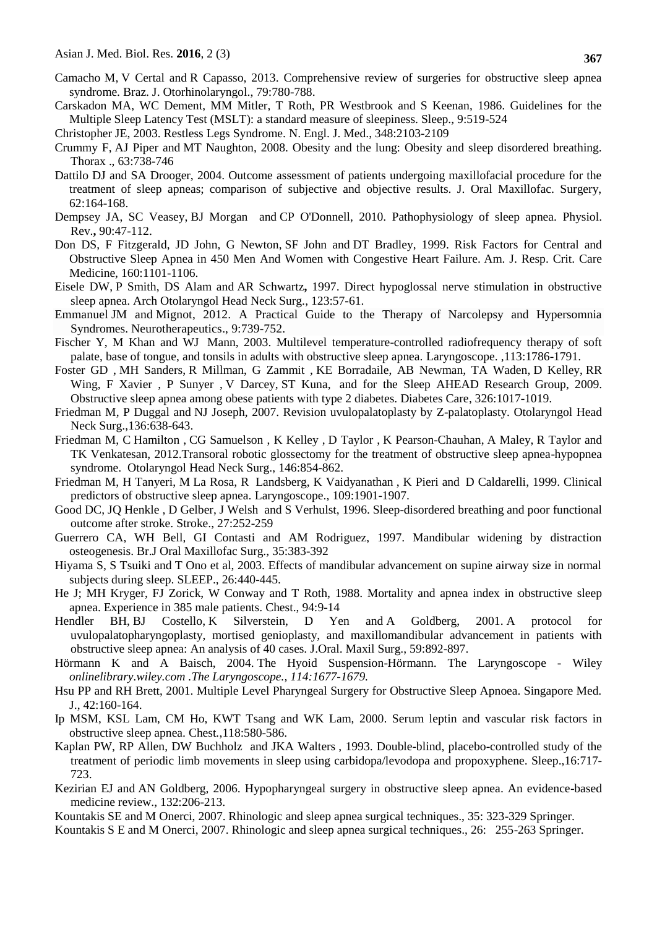- Camacho M, V Certal and R Capasso, 2013. Comprehensive review of surgeries for obstructive sleep apnea syndrome. Braz. J. Otorhinolaryngol., 79:780-788.
- Carskadon MA, WC Dement, MM Mitler, T Roth, PR Westbrook and S Keenan, 1986. Guidelines for the Multiple Sleep Latency Test (MSLT): a standard measure of sleepiness. Sleep., 9:519-524
- Christopher JE, 2003. Restless Legs Syndrome. N. Engl. J. Med., 348:2103-2109
- [Crummy](http://thorax.bmj.com/search?author1=F+Crummy&sortspec=date&submit=Submit) F, AJ [Piper](http://thorax.bmj.com/search?author1=A+J+Piper&sortspec=date&submit=Submit) and MT [Naughton,](http://thorax.bmj.com/search?author1=M+T+Naughton&sortspec=date&submit=Submit) 2008. Obesity and the lung: Obesity and sleep disordered breathing. Thorax ., 63:738-746
- Dattilo DJ and SA Drooger, 2004. Outcome assessment of patients undergoing maxillofacial procedure for the treatment of sleep apneas; comparison of subjective and objective results. J. Oral Maxillofac. Surgery, 62:164-168.
- [Dempsey JA,](http://www.ncbi.nlm.nih.gov/pubmed/?term=Dempsey%20JA%5BAuthor%5D&cauthor=true&cauthor_uid=20086074) SC [Veasey,](http://www.ncbi.nlm.nih.gov/pubmed/?term=Veasey%20SC%5BAuthor%5D&cauthor=true&cauthor_uid=20086074) BJ [Morgan](http://www.ncbi.nlm.nih.gov/pubmed/?term=Morgan%20BJ%5BAuthor%5D&cauthor=true&cauthor_uid=20086074) and CP [O'Donnell, 2010.](http://www.ncbi.nlm.nih.gov/pubmed/?term=O%27Donnell%20CP%5BAuthor%5D&cauthor=true&cauthor_uid=20086074) Pathophysiology of sleep apnea. [Physiol.](http://www.ncbi.nlm.nih.gov/pubmed/20086074) [Rev.](http://www.ncbi.nlm.nih.gov/pubmed/20086074)**,** 90:47-112.
- Don DS, F Fitzgerald, JD John, G Newton, SF John and DT Bradley, 1999. Risk Factors for Central and Obstructive Sleep Apnea in 450 Men And Women with Congestive Heart Failure. Am. J. Resp. Crit. Care Medicine, 160:1101-1106.
- [Eisele DW,](http://www.ncbi.nlm.nih.gov/pubmed/?term=Eisele%20DW%5BAuthor%5D&cauthor=true&cauthor_uid=9006504) P [Smith,](http://www.ncbi.nlm.nih.gov/pubmed/?term=Smith%20PL%5BAuthor%5D&cauthor=true&cauthor_uid=9006504) DS [Alam](http://www.ncbi.nlm.nih.gov/pubmed/?term=Alam%20DS%5BAuthor%5D&cauthor=true&cauthor_uid=9006504) and AR [Schwartz](http://www.ncbi.nlm.nih.gov/pubmed/?term=Schwartz%20AR%5BAuthor%5D&cauthor=true&cauthor_uid=9006504)**,** 1997. Direct hypoglossal nerve stimulation in obstructive sleep apnea. [Arch Otolaryngol Head Neck Surg.,](http://www.ncbi.nlm.nih.gov/pubmed/9006504) 123:57**-**61.
- [Emmanuel](http://link.springer.com/article/10.1007%2Fs13311-012-0150-9#author-details-1) JM and Mignot, 2012. A Practical Guide to the Therapy of Narcolepsy and Hypersomnia Syndromes. [Neurotherapeutics.](http://link.springer.com/journal/13311), 9:739-752.
- [Fischer Y,](http://www.ncbi.nlm.nih.gov/pubmed/?term=Fischer%20Y%5BAuthor%5D&cauthor=true&cauthor_uid=14520107) M [Khan](http://www.ncbi.nlm.nih.gov/pubmed/?term=Khan%20M%5BAuthor%5D&cauthor=true&cauthor_uid=14520107) and WJ [Mann,](http://www.ncbi.nlm.nih.gov/pubmed/?term=Mann%20WJ%5BAuthor%5D&cauthor=true&cauthor_uid=14520107) 2003. Multilevel temperature-controlled radiofrequency therapy of soft palate, base of tongue, and tonsils in adults with obstructive sleep apnea. [Laryngoscope.](http://www.ncbi.nlm.nih.gov/pubmed/14520107) ,113:1786-1791.
- [Foster](http://care.diabetesjournals.org/search?author1=Gary+D.+Foster&sortspec=date&submit=Submit) GD , MH [Sanders,](http://care.diabetesjournals.org/search?author1=Mark+H.+Sanders&sortspec=date&submit=Submit) R [Millman,](http://care.diabetesjournals.org/search?author1=Richard+Millman&sortspec=date&submit=Submit) G [Zammit](http://care.diabetesjournals.org/search?author1=Gary+Zammit&sortspec=date&submit=Submit) , KE [Borradaile,](http://care.diabetesjournals.org/search?author1=Kelley+E.+Borradaile&sortspec=date&submit=Submit) AB Newman, TA Waden, D [Kelley,](http://care.diabetesjournals.org/search?author1=David+Kelley&sortspec=date&submit=Submit) R[R](http://care.diabetesjournals.org/search?author1=Rena+R.+Wing&sortspec=date&submit=Submit) [Wing,](http://care.diabetesjournals.org/search?author1=Rena+R.+Wing&sortspec=date&submit=Submit) F [Xavier](http://care.diabetesjournals.org/search?author1=F.+Xavier+Pi+Sunyer&sortspec=date&submit=Submit) , P Sunyer , V [Darcey,](http://care.diabetesjournals.org/search?author1=Valerie+Darcey&sortspec=date&submit=Submit) ST [Kuna,](http://care.diabetesjournals.org/search?author1=Samuel+T.+Kuna&sortspec=date&submit=Submit) and for the Sleep AHEAD Research Group, 2009. Obstructive sleep apnea among obese patients with type 2 diabetes. Diabetes Care, 326:1017-1019.
- [Friedman M,](http://www.ncbi.nlm.nih.gov/pubmed/?term=Friedman%20M%5BAuthor%5D&cauthor=true&cauthor_uid=17418265) P [Duggal](http://www.ncbi.nlm.nih.gov/pubmed/?term=Duggal%20P%5BAuthor%5D&cauthor=true&cauthor_uid=17418265) and NJ [Joseph, 2007.](http://www.ncbi.nlm.nih.gov/pubmed/?term=Joseph%20NJ%5BAuthor%5D&cauthor=true&cauthor_uid=17418265) Revision uvulopalatoplasty by Z-palatoplasty. [Otolaryngol Head](http://www.ncbi.nlm.nih.gov/pubmed/17418265)  [Neck Surg.,](http://www.ncbi.nlm.nih.gov/pubmed/17418265)136:638-643.
- [Friedman M,](http://www.ncbi.nlm.nih.gov/pubmed/?term=Friedman%20M%5BAuthor%5D&cauthor=true&cauthor_uid=22247514) C [Hamilton ,](http://www.ncbi.nlm.nih.gov/pubmed/?term=Hamilton%20C%5BAuthor%5D&cauthor=true&cauthor_uid=22247514) CG [Samuelson ,](http://www.ncbi.nlm.nih.gov/pubmed/?term=Samuelson%20CG%5BAuthor%5D&cauthor=true&cauthor_uid=22247514) K [Kelley ,](http://www.ncbi.nlm.nih.gov/pubmed/?term=Kelley%20K%5BAuthor%5D&cauthor=true&cauthor_uid=22247514) D [Taylor ,](http://www.ncbi.nlm.nih.gov/pubmed/?term=Taylor%20D%5BAuthor%5D&cauthor=true&cauthor_uid=22247514) K [Pearson-Chauhan,](http://www.ncbi.nlm.nih.gov/pubmed/?term=Pearson-Chauhan%20K%5BAuthor%5D&cauthor=true&cauthor_uid=22247514) A [Maley,](http://www.ncbi.nlm.nih.gov/pubmed/?term=Maley%20A%5BAuthor%5D&cauthor=true&cauthor_uid=22247514) R [Taylor](http://www.ncbi.nlm.nih.gov/pubmed/?term=Taylor%20R%5BAuthor%5D&cauthor=true&cauthor_uid=22247514) and TK [Venkatesan,](http://www.ncbi.nlm.nih.gov/pubmed/?term=Venkatesan%20TK%5BAuthor%5D&cauthor=true&cauthor_uid=22247514) 2012.Transoral robotic glossectomy for the treatment of obstructive sleep apnea-hypopnea syndrome. [Otolaryngol Head Neck Surg.,](http://www.ncbi.nlm.nih.gov/pubmed/22247514) 146:854-862.
- [Friedman M,](http://www.ncbi.nlm.nih.gov/pubmed/?term=Friedman%20M%5BAuthor%5D&cauthor=true&cauthor_uid=10591345) H [Tanyeri,](http://www.ncbi.nlm.nih.gov/pubmed/?term=Tanyeri%20H%5BAuthor%5D&cauthor=true&cauthor_uid=10591345) M [La Rosa,](http://www.ncbi.nlm.nih.gov/pubmed/?term=La%20Rosa%20M%5BAuthor%5D&cauthor=true&cauthor_uid=10591345) R [Landsberg,](http://www.ncbi.nlm.nih.gov/pubmed/?term=Landsberg%20R%5BAuthor%5D&cauthor=true&cauthor_uid=10591345) K [Vaidyanathan](http://www.ncbi.nlm.nih.gov/pubmed/?term=Vaidyanathan%20K%5BAuthor%5D&cauthor=true&cauthor_uid=10591345) , K [Pieri](http://www.ncbi.nlm.nih.gov/pubmed/?term=Pieri%20S%5BAuthor%5D&cauthor=true&cauthor_uid=10591345) and D [Caldarelli,](http://www.ncbi.nlm.nih.gov/pubmed/?term=Caldarelli%20D%5BAuthor%5D&cauthor=true&cauthor_uid=10591345) 1999. Clinical predictors of obstructive sleep apnea. [Laryngoscope.,](http://www.ncbi.nlm.nih.gov/pubmed/10591345) 109:1901-1907.
- [Good DC,](http://www.ncbi.nlm.nih.gov/pubmed/?term=Good%20DC%5BAuthor%5D&cauthor=true&cauthor_uid=8571419) J[Q Henkle](http://www.ncbi.nlm.nih.gov/pubmed/?term=Henkle%20JQ%5BAuthor%5D&cauthor=true&cauthor_uid=8571419) , D [Gelber,](http://www.ncbi.nlm.nih.gov/pubmed/?term=Gelber%20D%5BAuthor%5D&cauthor=true&cauthor_uid=8571419) J [Welsh](http://www.ncbi.nlm.nih.gov/pubmed/?term=Welsh%20J%5BAuthor%5D&cauthor=true&cauthor_uid=8571419) and S [Verhulst,](http://www.ncbi.nlm.nih.gov/pubmed/?term=Verhulst%20S%5BAuthor%5D&cauthor=true&cauthor_uid=8571419) 1996. Sleep-disordered breathing and poor functional outcome after stroke. [Stroke.,](http://www.ncbi.nlm.nih.gov/pubmed/8571419?dopt=Abstract) 27:252-259
- Guerrero CA, WH Bell, GI Contasti and AM Rodriguez, 1997. Mandibular widening by distraction osteogenesis. Br.J Oral Maxillofac Surg., 35:383-392
- Hiyama S, S Tsuiki and T Ono et al, 2003. Effects of mandibular advancement on supine airway size in normal subjects during sleep. SLEEP., 26:440-445.
- He J; MH Kryger, FJ Zorick, W Conway and T Roth, 1988. Mortality and apnea index in obstructive sleep apnea. Experience in 385 male patients. Chest., 94:9-14
- [Hendler](http://www.sciencedirect.com/science/article/pii/S0278239101472910) BH, BJ [Costello,](http://www.sciencedirect.com/science/article/pii/S0278239101472910) K [Silverstein,](http://www.sciencedirect.com/science/article/pii/S0278239101472910) D [Yen](http://www.sciencedirect.com/science/article/pii/S0278239101472910) and A [Goldberg,](http://www.sciencedirect.com/science/article/pii/S0278239101472910) 2001. A protocol for uvulopalatopharyngoplasty, mortised genioplasty, and maxillomandibular advancement in patients with obstructive sleep apnea: An analysis of 40 cases. [J.Oral.](http://www.sciencedirect.com/science/journal/02782391) Maxil Surg., [59:8](http://www.sciencedirect.com/science/journal/02782391/59/8)92-897.
- Hörmann K and A Baisch, 2004. [The Hyoid Suspension-Hörmann. The Laryngoscope -](https://www.google.com/url?sa=t&rct=j&q=&esrc=s&source=web&cd=1&cad=rja&uact=8&ved=0ahUKEwigj9Xl_9PMAhWLM48KHTwdC1oQFggcMAA&url=http%3A%2F%2Fonlinelibrary.wiley.com%2Fdoi%2F10.1097%2F00005537-200409000-00033%2Fabstract&usg=AFQjCNEorQV5JAtkHVL5CnO84NYNijwWtQ) Wiley *onlinelibrary.wiley.com .The Laryngoscope., 114:1677-1679.*
- Hsu PP and RH Brett, 2001. Multiple Level Pharyngeal Surgery for Obstructive Sleep Apnoea. Singapore Med. J., 42:160-164.
- Ip MSM, KSL Lam, CM Ho, KWT Tsang and WK Lam, 2000. Serum leptin and vascular risk factors in obstructive sleep apnea. Chest*.*,118:580-586.
- [Kaplan PW,](http://www.ncbi.nlm.nih.gov/pubmed/?term=Kaplan%20PW%5BAuthor%5D&cauthor=true&cauthor_uid=8165385) RP [Allen,](http://www.ncbi.nlm.nih.gov/pubmed/?term=Allen%20RP%5BAuthor%5D&cauthor=true&cauthor_uid=8165385) DW [Buchholz](http://www.ncbi.nlm.nih.gov/pubmed/?term=Buchholz%20DW%5BAuthor%5D&cauthor=true&cauthor_uid=8165385) and JKA [Walters](http://www.ncbi.nlm.nih.gov/pubmed/?term=Walters%20JK%5BAuthor%5D&cauthor=true&cauthor_uid=8165385) , 1993. Double-blind, placebo-controlled study of the treatment of periodic limb movements in sleep using carbidopa/levodopa and propoxyphene. [Sleep.,](http://www.ncbi.nlm.nih.gov/pubmed/8165385)16:717- 723.
- [Kezirian EJ](http://www.ncbi.nlm.nih.gov/pubmed/?term=Kezirian%20EJ%5BAuthor%5D&cauthor=true&cauthor_uid=16490881) and AN [Goldberg,](http://www.ncbi.nlm.nih.gov/pubmed/?term=Goldberg%20AN%5BAuthor%5D&cauthor=true&cauthor_uid=16490881) 2006. Hypopharyngeal surgery in obstructive sleep apnea. An evidence-based medicine review., 132:206-213.
- Kountakis SE and M Onerci, 2007. Rhinologic and sleep apnea surgical techniques., 35: 323-329 Springer.
- Kountakis S E and M Onerci, 2007. Rhinologic and sleep apnea surgical techniques., 26: 255-263 Springer.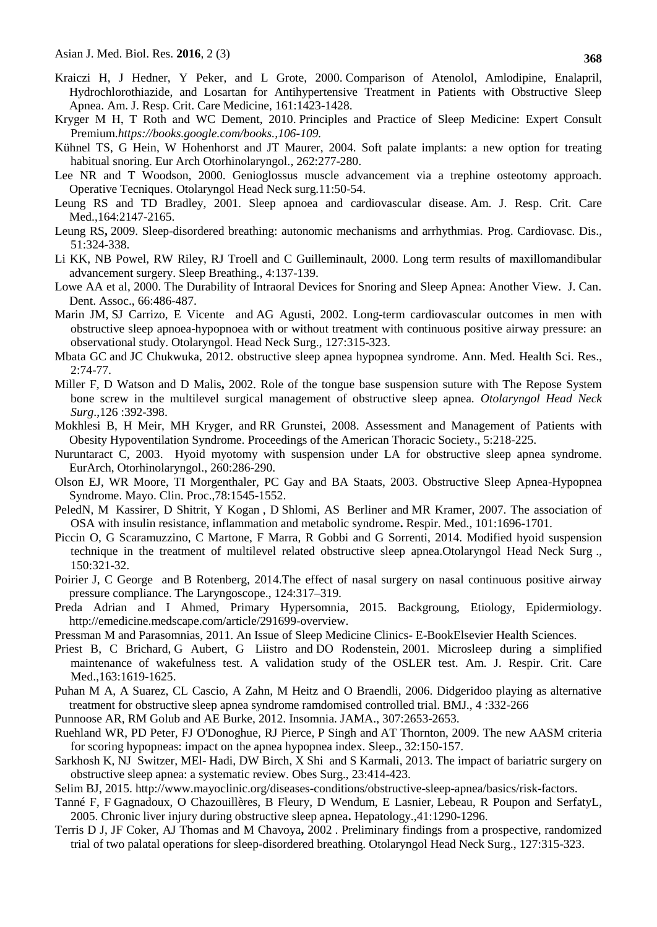- Kraiczi H, J Hedner, Y Peker, and L Grote, 2000. Comparison of Atenolol, Amlodipine, Enalapril, Hydrochlorothiazide, and Losartan for Antihypertensive Treatment in Patients with Obstructive Sleep Apnea. Am. J. Resp. Crit. Care Medicine, 161:1423-1428.
- [Kryger](https://www.google.com/search?espv=2&biw=1174&bih=881&tbm=bks&q=inauthor:%22Meir+H.+Kryger%22&sa=X&ved=0ahUKEwigj9Xl_9PMAhWLM48KHTwdC1oQ9AgIKTAC) M H, [T Roth](https://www.google.com/search?espv=2&biw=1174&bih=881&tbm=bks&q=inauthor:%22Thomas+Roth%22&sa=X&ved=0ahUKEwigj9Xl_9PMAhWLM48KHTwdC1oQ9AgIKjAC) and WC [Dement,](https://www.google.com/search?espv=2&biw=1174&bih=881&tbm=bks&q=inauthor:%22William+C.+Dement%22&sa=X&ved=0ahUKEwigj9Xl_9PMAhWLM48KHTwdC1oQ9AgIKzAC) 2010. Principles and Practice of Sleep Medicine: Expert Consult Premium.*https://books.google.com/books.,106-109.*
- [Kühnel TS,](http://www.ncbi.nlm.nih.gov/pubmed/?term=K%C3%BChnel%20TS%5BAuthor%5D&cauthor=true&cauthor_uid=15316821) G [Hein,](http://www.ncbi.nlm.nih.gov/pubmed/?term=Hein%20G%5BAuthor%5D&cauthor=true&cauthor_uid=15316821) W [Hohenhorst](http://www.ncbi.nlm.nih.gov/pubmed/?term=Hohenhorst%20W%5BAuthor%5D&cauthor=true&cauthor_uid=15316821) and JT [Maurer, 2004.](http://www.ncbi.nlm.nih.gov/pubmed/?term=Maurer%20JT%5BAuthor%5D&cauthor=true&cauthor_uid=15316821) Soft palate implants: a new option for treating habitual snoring. [Eur Arch Otorhinolaryngol.,](http://www.ncbi.nlm.nih.gov/pubmed/15316821) 262:277-280.
- Lee NR and T Woodson, 2000. Genioglossus muscle advancement via a trephine osteotomy approach. Operative Tecniques. Otolaryngol Head Neck surg.11:50-54.
- Leung RS and TD Bradley, 2001. Sleep apnoea and cardiovascular disease. Am. J. Resp. Crit. Care Med.,164:2147-2165.
- [Leung RS](http://www.ncbi.nlm.nih.gov/pubmed/?term=Leung%20RS%5BAuthor%5D&cauthor=true&cauthor_uid=19110134)**,** 2009. Sleep-disordered breathing: autonomic mechanisms and arrhythmias. [Prog. Cardiovasc. Dis.](http://www.ncbi.nlm.nih.gov/pubmed/19110134), 51:324-338.
- Li KK, NB Powel, RW Riley, RJ Troell and C Guilleminault, 2000. Long term results of maxillomandibular advancement surgery. Sleep Breathing., 4:137-139.
- Lowe AA et al, 2000. The Durability of Intraoral Devices for Snoring and Sleep Apnea: Another View. J. Can. Dent. Assoc., 66:486-487.
- [Marin JM,](http://www.ncbi.nlm.nih.gov/pubmed/?term=Marin%20JM%5BAuthor%5D&cauthor=true&cauthor_uid=15781100) SJ [Carrizo,](http://www.ncbi.nlm.nih.gov/pubmed/?term=Carrizo%20SJ%5BAuthor%5D&cauthor=true&cauthor_uid=15781100) E [Vicente](http://www.ncbi.nlm.nih.gov/pubmed/?term=Vicente%20E%5BAuthor%5D&cauthor=true&cauthor_uid=15781100) and AG [Agusti,](http://www.ncbi.nlm.nih.gov/pubmed/?term=Agusti%20AG%5BAuthor%5D&cauthor=true&cauthor_uid=15781100) 2002. Long-term cardiovascular outcomes in men with obstructive sleep apnoea-hypopnoea with or without treatment with continuous positive airway pressure: an observational study. Otolaryngol. Head Neck Surg., 127:315-323.
- [Mbata](http://www.ncbi.nlm.nih.gov/pubmed/?term=Mbata%20G%5Bauth%5D) GC and [JC Chukwuka,](http://www.ncbi.nlm.nih.gov/pubmed/?term=Chukwuka%20J%5Bauth%5D) 2012. obstructive sleep apnea hypopnea syndrome. Ann. Med. Health Sci. Res., 2:74-77.
- [Miller](http://oto.sagepub.com/search?author1=Frank+R.+Miller&sortspec=date&submit=Submit) F, D [Watson](http://oto.sagepub.com/search?author1=Daniel+Watson&sortspec=date&submit=Submit) and D [Malis](http://oto.sagepub.com/search?author1=David+Malis&sortspec=date&submit=Submit)**,** 2002. Role of the tongue base suspension suture with The Repose System bone screw in the multilevel surgical management of obstructive sleep apnea. *Otolaryngol Head Neck Surg*.,126 :392-398.
- Mokhlesi B, H Meir, MH Kryger, and RR Grunstei, 2008. Assessment and Management of Patients with Obesity Hypoventilation Syndrome. Proceedings of the American Thoracic Society., 5:218-225.
- Nuruntaract C, 2003. Hyoid myotomy with suspension under LA for obstructive sleep apnea syndrome. EurArch, Otorhinolaryngol., 260:286-290.
- Olson EJ, WR Moore, TI Morgenthaler, PC Gay and BA Staats, 2003. Obstructive Sleep Apnea-Hypopnea Syndrome. Mayo. Clin. Proc.,78:1545-1552.
- [PeledN,](http://www.ncbi.nlm.nih.gov/pubmed/?term=Peled%20N%5BAuthor%5D&cauthor=true&cauthor_uid=17466499) M [Kassirer,](http://www.ncbi.nlm.nih.gov/pubmed/?term=Kassirer%20M%5BAuthor%5D&cauthor=true&cauthor_uid=17466499) D [Shitrit,](http://www.ncbi.nlm.nih.gov/pubmed/?term=Shitrit%20D%5BAuthor%5D&cauthor=true&cauthor_uid=17466499) Y [Kogan](http://www.ncbi.nlm.nih.gov/pubmed/?term=Kogan%20Y%5BAuthor%5D&cauthor=true&cauthor_uid=17466499) , D [Shlomi,](http://www.ncbi.nlm.nih.gov/pubmed/?term=Shlomi%20D%5BAuthor%5D&cauthor=true&cauthor_uid=17466499) AS [Berliner](http://www.ncbi.nlm.nih.gov/pubmed/?term=Berliner%20AS%5BAuthor%5D&cauthor=true&cauthor_uid=17466499) and MR [Kramer,](http://www.ncbi.nlm.nih.gov/pubmed/?term=Kramer%20MR%5BAuthor%5D&cauthor=true&cauthor_uid=17466499) 2007. The association of OSA with insulin resistance, inflammation and metabolic syndrome**.** [Respir. Med.,](http://www.ncbi.nlm.nih.gov/pubmed/17466499) 101:1696-1701.
- [Piccin](http://oto.sagepub.com/search?author1=Ottavio+Piccin&sortspec=date&submit=Submit) O, G [Scaramuzzino,](http://oto.sagepub.com/search?author1=Giuseppe+Scaramuzzino&sortspec=date&submit=Submit) C [Martone,](http://oto.sagepub.com/search?author1=Chiara+Martone&sortspec=date&submit=Submit) F [Marra,](http://oto.sagepub.com/search?author1=Francesca+Marra&sortspec=date&submit=Submit) R [Gobbi](http://oto.sagepub.com/search?author1=Riccardo+Gobbi&sortspec=date&submit=Submit) and [G Sorrenti,](http://oto.sagepub.com/search?author1=Giovanni+Sorrenti&sortspec=date&submit=Submit) 2014. Modified hyoid suspension technique in the treatment of multilevel related obstructive sleep apnea.Otolaryngol Head Neck Surg ., 150:321-32.
- Poirier J, C George and B Rotenberg, 2014.The effect of nasal surgery on nasal continuous positive airway pressure compliance. The Laryngoscope., 124:317–319.
- Preda Adrian and I Ahmed, Primary Hypersomnia, 2015. Backgroung, Etiology, Epidermiology. http://emedicine.medscape.com/article/291699-overview.
- [Pressman](https://www.google.com.my/search?tbo=p&tbm=bks&q=inauthor:%22Mark+Pressman%22) M and Parasomnias, 2011. An Issue of Sleep Medicine Clinics- E-BookElsevier Health Sciences.
- [Priest B,](http://www.ncbi.nlm.nih.gov/pubmed/?term=Priest%20B%5BAuthor%5D&cauthor=true&cauthor_uid=11401884) C [Brichard,](http://www.ncbi.nlm.nih.gov/pubmed/?term=Brichard%20C%5BAuthor%5D&cauthor=true&cauthor_uid=11401884) G [Aubert,](http://www.ncbi.nlm.nih.gov/pubmed/?term=Aubert%20G%5BAuthor%5D&cauthor=true&cauthor_uid=11401884) G [Liistro](http://www.ncbi.nlm.nih.gov/pubmed/?term=Liistro%20G%5BAuthor%5D&cauthor=true&cauthor_uid=11401884) and DO [Rodenstein,](http://www.ncbi.nlm.nih.gov/pubmed/?term=Rodenstein%20DO%5BAuthor%5D&cauthor=true&cauthor_uid=11401884) 2001. Microsleep during a simplified maintenance of wakefulness test. A validation study of the OSLER test. [Am. J. Respir. Crit. Care](http://www.ncbi.nlm.nih.gov/pubmed/11401884)  [Med.,](http://www.ncbi.nlm.nih.gov/pubmed/11401884) 163:1619-1625.
- Puhan M A, A Suarez, CL Cascio, A Zahn, M Heitz and O Braendli, 2006. Didgeridoo playing as alternative treatment for obstructive sleep apnea syndrome ramdomised controlled trial. BMJ., 4 :332-266
- Punnoose AR, RM Golub and AE Burke, 2012. Insomnia. JAMA., 307:2653-2653.
- [Ruehland](https://www.ncbi.nlm.nih.gov/pubmed/?term=Ruehland%20WR%5Bauth%5D) WR, PD Peter, FJ [O'Donoghue,](https://www.ncbi.nlm.nih.gov/pubmed/?term=O%27Donoghue%20FJ%5Bauth%5D) RJ [Pierce,](https://www.ncbi.nlm.nih.gov/pubmed/?term=Pierce%20RJ%5Bauth%5D) P [Singh](https://www.ncbi.nlm.nih.gov/pubmed/?term=Singh%20P%5Bauth%5D) and AT [Thornton,](https://www.ncbi.nlm.nih.gov/pubmed/?term=Thornton%20AT%5Bauth%5D) 2009. The new AASM criteria for scoring hypopneas: impact on the apnea hypopnea index. Sleep., 32:150-157.
- [Sarkhosh K,](http://www.ncbi.nlm.nih.gov/pubmed/?term=Sarkhosh%20K%5BAuthor%5D&cauthor=true&cauthor_uid=23299507) NJ [Switzer,](http://www.ncbi.nlm.nih.gov/pubmed/?term=Switzer%20NJ%5BAuthor%5D&cauthor=true&cauthor_uid=23299507) MEl- [Hadi,](http://www.ncbi.nlm.nih.gov/pubmed/?term=El-Hadi%20M%5BAuthor%5D&cauthor=true&cauthor_uid=23299507) DW [Birch,](http://www.ncbi.nlm.nih.gov/pubmed/?term=Birch%20DW%5BAuthor%5D&cauthor=true&cauthor_uid=23299507) X [Shi](http://www.ncbi.nlm.nih.gov/pubmed/?term=Shi%20X%5BAuthor%5D&cauthor=true&cauthor_uid=23299507) and S [Karmali,](http://www.ncbi.nlm.nih.gov/pubmed/?term=Karmali%20S%5BAuthor%5D&cauthor=true&cauthor_uid=23299507) 2013. The impact of bariatric surgery on obstructive sleep apnea: a systematic review. [Obes Surg.](http://www.ncbi.nlm.nih.gov/pubmed/23299507), 23:414-423.
- Selim BJ, 2015[. http://www.mayoclinic.org/diseases-conditions/obstructive-sleep-apnea/basics/risk-factors.](http://www.mayoclinic.org/diseases-conditions/obstructive-sleep-apnea/basics/risk-factors.)
- [Tanné F,](http://www.ncbi.nlm.nih.gov/pubmed/?term=Tann%C3%A9%20F%5BAuthor%5D&cauthor=true&cauthor_uid=15915459) F [Gagnadoux,](http://www.ncbi.nlm.nih.gov/pubmed/?term=Gagnadoux%20F%5BAuthor%5D&cauthor=true&cauthor_uid=15915459) O [Chazouillères,](http://www.ncbi.nlm.nih.gov/pubmed/?term=Chazouill%C3%A8res%20O%5BAuthor%5D&cauthor=true&cauthor_uid=15915459) B [Fleury,](http://www.ncbi.nlm.nih.gov/pubmed/?term=Fleury%20B%5BAuthor%5D&cauthor=true&cauthor_uid=15915459) D [Wendum,](http://www.ncbi.nlm.nih.gov/pubmed/?term=Wendum%20D%5BAuthor%5D&cauthor=true&cauthor_uid=15915459) E [Lasnier,](http://www.ncbi.nlm.nih.gov/pubmed/?term=Lasnier%20E%5BAuthor%5D&cauthor=true&cauthor_uid=15915459) [Lebeau,](http://www.ncbi.nlm.nih.gov/pubmed/?term=Lebeau%20B%5BAuthor%5D&cauthor=true&cauthor_uid=15915459) R [Poupon](http://www.ncbi.nlm.nih.gov/pubmed/?term=Poupon%20R%5BAuthor%5D&cauthor=true&cauthor_uid=15915459) and [SerfatyL,](http://www.ncbi.nlm.nih.gov/pubmed/?term=Serfaty%20L%5BAuthor%5D&cauthor=true&cauthor_uid=15915459) 2005. Chronic liver injury during obstructive sleep apnea**.** [Hepatology.](http://www.ncbi.nlm.nih.gov/pubmed/15915459),41:1290-1296.
- [Terris](http://oto.sagepub.com/search?author1=David+J.+Terris&sortspec=date&submit=Submit) D J, JF [Coker,](http://oto.sagepub.com/search?author1=Joan+F.+Coker&sortspec=date&submit=Submit) AJ [Thomas](http://oto.sagepub.com/search?author1=Adrian+J.+Thomas&sortspec=date&submit=Submit) and M [Chavoya](http://oto.sagepub.com/search?author1=Martha+Chavoya&sortspec=date&submit=Submit)**,** 2002 . Preliminary findings from a prospective, randomized trial of two palatal operations for sleep-disordered breathing. Otolaryngol Head Neck Surg., 127:315-323.